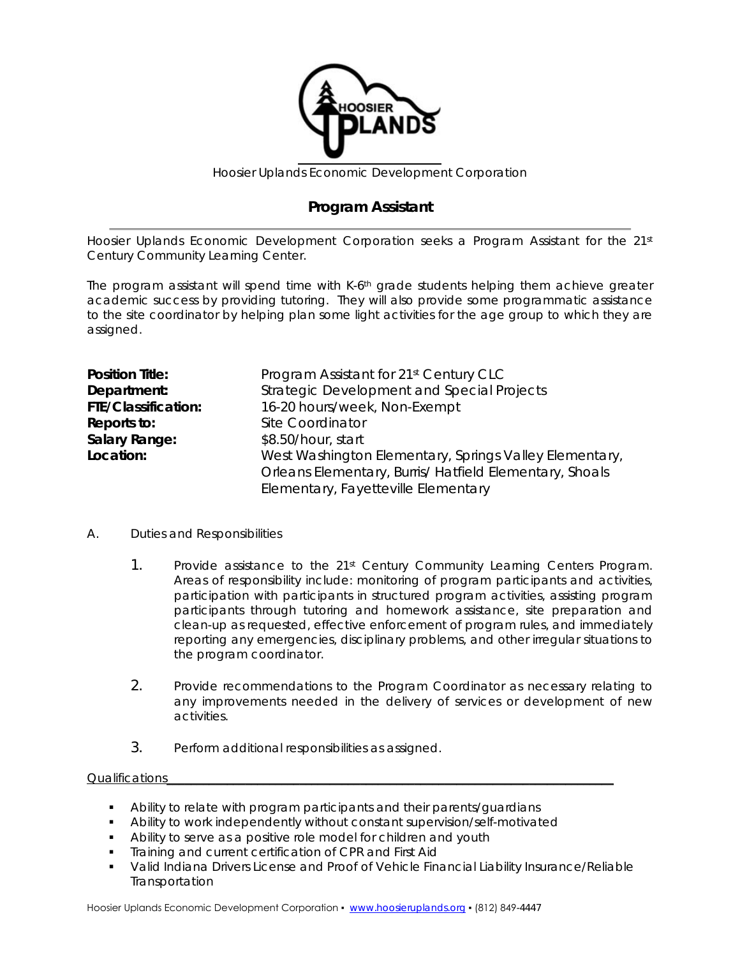

Hoosier Uplands Economic Development Corporation

## **Program Assistant**

Hoosier Uplands Economic Development Corporation seeks a Program Assistant for the 21<sup>st</sup> Century Community Learning Center.

The program assistant will spend time with K-6<sup>th</sup> grade students helping them achieve greater academic success by providing tutoring. They will also provide some programmatic assistance to the site coordinator by helping plan some light activities for the age group to which they are assigned.

| <b>Position Title:</b> | Program Assistant for 21 <sup>st</sup> Century CLC      |
|------------------------|---------------------------------------------------------|
| Department:            | Strategic Development and Special Projects              |
| FTE/Classification:    | 16-20 hours/week, Non-Exempt                            |
| Reports to:            | Site Coordinator                                        |
| Salary Range:          | \$8.50/hour, start                                      |
| Location:              | West Washington Elementary, Springs Valley Elementary,  |
|                        | Orleans Elementary, Burris/ Hatfield Elementary, Shoals |
|                        | Elementary, Fayetteville Elementary                     |

## A. Duties and Responsibilities

- 1. Provide assistance to the 21st Century Community Learning Centers Program. Areas of responsibility include: monitoring of program participants and activities, participation with participants in structured program activities, assisting program participants through tutoring and homework assistance, site preparation and clean-up as requested, effective enforcement of program rules, and immediately reporting any emergencies, disciplinary problems, and other irregular situations to the program coordinator.
- 2. Provide recommendations to the Program Coordinator as necessary relating to any improvements needed in the delivery of services or development of new activities.
- 3. Perform additional responsibilities as assigned.

## Qualifications

- Ability to relate with program participants and their parents/guardians
- Ability to work independently without constant supervision/self-motivated
- **Ability to serve as a positive role model for children and youth**
- **Training and current certification of CPR and First Aid**
- Valid Indiana Drivers License and Proof of Vehicle Financial Liability Insurance/Reliable Transportation

Hoosier Uplands Economic Development Corporation • [www.hoosieruplands.org](http://www.hoosieruplands.org/) • (812) 849-4447